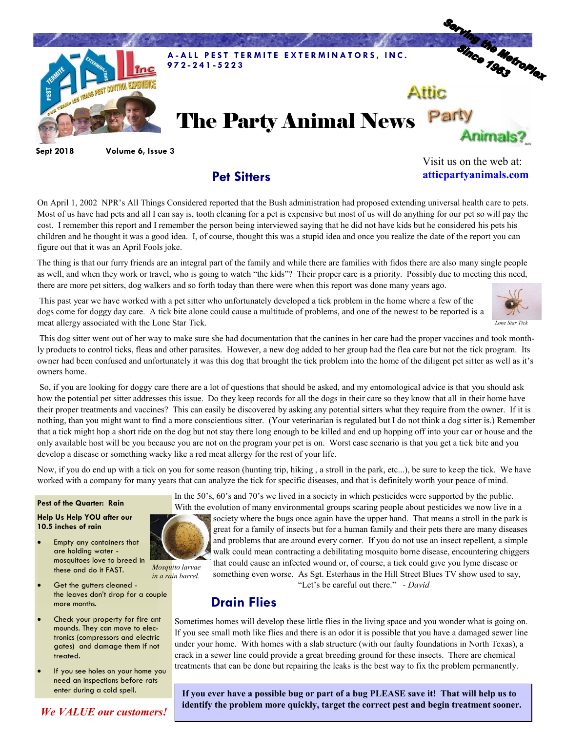

**Sept 2018 Volume 6, Issue 3**

## **Pet Sitters**

Visit us on the web at: **atticpartyanimals.com**

On April 1, 2002 NPR's All Things Considered reported that the Bush administration had proposed extending universal health care to pets. Most of us have had pets and all I can say is, tooth cleaning for a pet is expensive but most of us will do anything for our pet so will pay the cost. I remember this report and I remember the person being interviewed saying that he did not have kids but he considered his pets his children and he thought it was a good idea. I, of course, thought this was a stupid idea and once you realize the date of the report you can figure out that it was an April Fools joke.

The thing is that our furry friends are an integral part of the family and while there are families with fidos there are also many single people as well, and when they work or travel, who is going to watch "the kids"? Their proper care is a priority. Possibly due to meeting this need, there are more pet sitters, dog walkers and so forth today than there were when this report was done many years ago.

This past year we have worked with a pet sitter who unfortunately developed a tick problem in the home where a few of the dogs come for doggy day care. A tick bite alone could cause a multitude of problems, and one of the newest to be reported is a meat allergy associated with the Lone Star Tick.



So, if you are looking for doggy care there are a lot of questions that should be asked, and my entomological advice is that you should ask how the potential pet sitter addresses this issue. Do they keep records for all the dogs in their care so they know that all in their home have their proper treatments and vaccines? This can easily be discovered by asking any potential sitters what they require from the owner. If it is nothing, than you might want to find a more conscientious sitter. (Your veterinarian is regulated but I do not think a dog sitter is.) Remember that a tick might hop a short ride on the dog but not stay there long enough to be killed and end up hopping off into your car or house and the only available host will be you because you are not on the program your pet is on. Worst case scenario is that you get a tick bite and you develop a disease or something wacky like a red meat allergy for the rest of your life.

Now, if you do end up with a tick on you for some reason (hunting trip, hiking , a stroll in the park, etc...), be sure to keep the tick. We have worked with a company for many years that can analyze the tick for specific diseases, and that is definitely worth your peace of mind.

#### **Pest of the Quarter: Rain**

#### **Help Us Help YOU after our 10.5 inches of rain**

- Empty any containers that are holding water mosquitoes love to breed in these and do it FAST.
- Get the gutters cleaned the leaves don't drop for a couple more months.
- Check your property for fire ant mounds. They can move to electronics (compressors and electric gates) and damage them if not treated.
- If you see holes on your home you need an inspections before rats enter during a cold spell.

*We VALUE our customers!*



In the 50's, 60's and 70's we lived in a society in which pesticides were supported by the public.

With the evolution of many environmental groups scaring people about pesticides we now live in a society where the bugs once again have the upper hand. That means a stroll in the park is great for a family of insects but for a human family and their pets there are many diseases and problems that are around every corner. If you do not use an insect repellent, a simple walk could mean contracting a debilitating mosquito borne disease, encountering chiggers that could cause an infected wound or, of course, a tick could give you lyme disease or something even worse. As Sgt. Esterhaus in the Hill Street Blues TV show used to say,

"Let's be careful out there." *- David*

### **Drain Flies**

Sometimes homes will develop these little flies in the living space and you wonder what is going on. If you see small moth like flies and there is an odor it is possible that you have a damaged sewer line under your home. With homes with a slab structure (with our faulty foundations in North Texas), a crack in a sewer line could provide a great breeding ground for these insects. There are chemical treatments that can be done but repairing the leaks is the best way to fix the problem permanently.

**If you ever have a possible bug or part of a bug PLEASE save it! That will help us to identify the problem more quickly, target the correct pest and begin treatment sooner.**